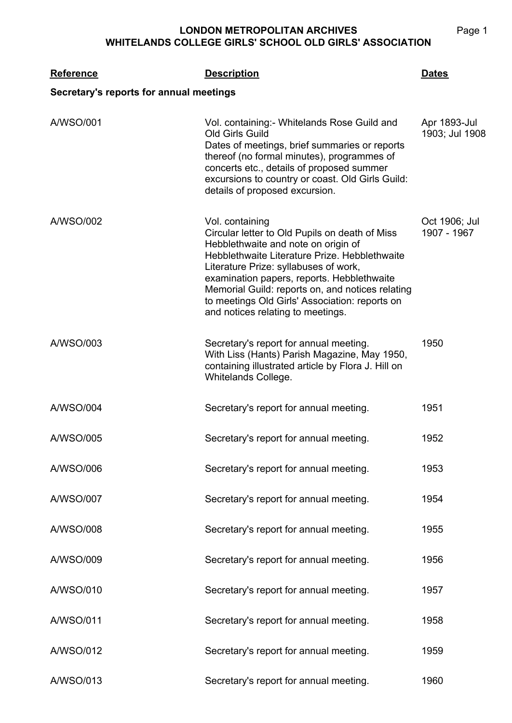## **LONDON METROPOLITAN ARCHIVES WHITELANDS COLLEGE GIRLS' SCHOOL OLD GIRLS' ASSOCIATION**

| <b>Reference</b><br>Secretary's reports for annual meetings | <b>Description</b>                                                                                                                                                                                                                                                                                                                                                                          | <b>Dates</b>                   |
|-------------------------------------------------------------|---------------------------------------------------------------------------------------------------------------------------------------------------------------------------------------------------------------------------------------------------------------------------------------------------------------------------------------------------------------------------------------------|--------------------------------|
| A/WSO/001                                                   | Vol. containing: Whitelands Rose Guild and<br>Old Girls Guild<br>Dates of meetings, brief summaries or reports<br>thereof (no formal minutes), programmes of<br>concerts etc., details of proposed summer<br>excursions to country or coast. Old Girls Guild:<br>details of proposed excursion.                                                                                             | Apr 1893-Jul<br>1903; Jul 1908 |
| A/WSO/002                                                   | Vol. containing<br>Circular letter to Old Pupils on death of Miss<br>Hebblethwaite and note on origin of<br>Hebblethwaite Literature Prize. Hebblethwaite<br>Literature Prize: syllabuses of work,<br>examination papers, reports. Hebblethwaite<br>Memorial Guild: reports on, and notices relating<br>to meetings Old Girls' Association: reports on<br>and notices relating to meetings. | Oct 1906; Jul<br>1907 - 1967   |
| A/WSO/003                                                   | Secretary's report for annual meeting.<br>With Liss (Hants) Parish Magazine, May 1950,<br>containing illustrated article by Flora J. Hill on<br>Whitelands College.                                                                                                                                                                                                                         | 1950                           |
| A/WSO/004                                                   | Secretary's report for annual meeting.                                                                                                                                                                                                                                                                                                                                                      | 1951                           |
| A/WSO/005                                                   | Secretary's report for annual meeting.                                                                                                                                                                                                                                                                                                                                                      | 1952                           |
| A/WSO/006                                                   | Secretary's report for annual meeting.                                                                                                                                                                                                                                                                                                                                                      | 1953                           |
| A/WSO/007                                                   | Secretary's report for annual meeting.                                                                                                                                                                                                                                                                                                                                                      | 1954                           |
| A/WSO/008                                                   | Secretary's report for annual meeting.                                                                                                                                                                                                                                                                                                                                                      | 1955                           |
| A/WSO/009                                                   | Secretary's report for annual meeting.                                                                                                                                                                                                                                                                                                                                                      | 1956                           |
| A/WSO/010                                                   | Secretary's report for annual meeting.                                                                                                                                                                                                                                                                                                                                                      | 1957                           |
| A/WSO/011                                                   | Secretary's report for annual meeting.                                                                                                                                                                                                                                                                                                                                                      | 1958                           |
| A/WSO/012                                                   | Secretary's report for annual meeting.                                                                                                                                                                                                                                                                                                                                                      | 1959                           |
| A/WSO/013                                                   | Secretary's report for annual meeting.                                                                                                                                                                                                                                                                                                                                                      | 1960                           |

Page 1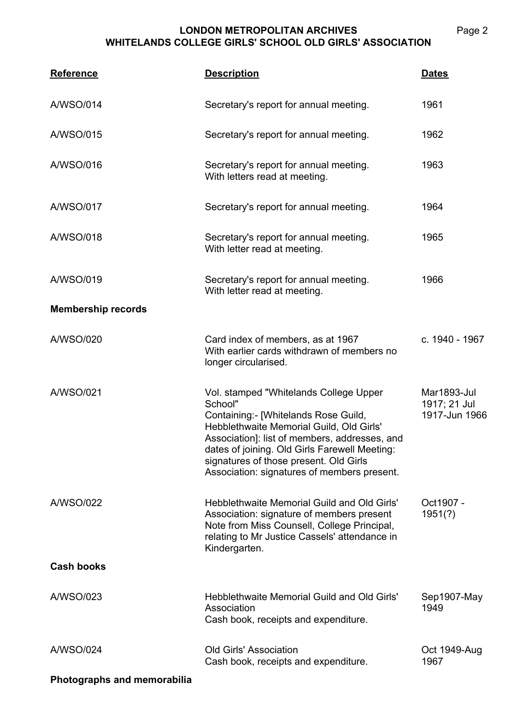## **LONDON METROPOLITAN ARCHIVES WHITELANDS COLLEGE GIRLS' SCHOOL OLD GIRLS' ASSOCIATION**

| <b>Reference</b>          | <b>Description</b>                                                                                                                                                                                                                                                                                                               | <b>Dates</b>                                 |
|---------------------------|----------------------------------------------------------------------------------------------------------------------------------------------------------------------------------------------------------------------------------------------------------------------------------------------------------------------------------|----------------------------------------------|
| A/WSO/014                 | Secretary's report for annual meeting.                                                                                                                                                                                                                                                                                           | 1961                                         |
| A/WSO/015                 | Secretary's report for annual meeting.                                                                                                                                                                                                                                                                                           | 1962                                         |
| A/WSO/016                 | Secretary's report for annual meeting.<br>With letters read at meeting.                                                                                                                                                                                                                                                          | 1963                                         |
| <b>A/WSO/017</b>          | Secretary's report for annual meeting.                                                                                                                                                                                                                                                                                           | 1964                                         |
| A/WSO/018                 | Secretary's report for annual meeting.<br>With letter read at meeting.                                                                                                                                                                                                                                                           | 1965                                         |
| A/WSO/019                 | Secretary's report for annual meeting.<br>With letter read at meeting.                                                                                                                                                                                                                                                           | 1966                                         |
| <b>Membership records</b> |                                                                                                                                                                                                                                                                                                                                  |                                              |
| A/WSO/020                 | Card index of members, as at 1967<br>With earlier cards withdrawn of members no<br>longer circularised.                                                                                                                                                                                                                          | c. 1940 - 1967                               |
| A/WSO/021                 | Vol. stamped "Whitelands College Upper<br>School"<br>Containing:- [Whitelands Rose Guild,<br>Hebblethwaite Memorial Guild, Old Girls'<br>Association]: list of members, addresses, and<br>dates of joining. Old Girls Farewell Meeting:<br>signatures of those present. Old Girls<br>Association: signatures of members present. | Mar1893-Jul<br>1917; 21 Jul<br>1917-Jun 1966 |
| A/WSO/022                 | Hebblethwaite Memorial Guild and Old Girls'<br>Association: signature of members present<br>Note from Miss Counsell, College Principal,<br>relating to Mr Justice Cassels' attendance in<br>Kindergarten.                                                                                                                        | Oct1907 -<br>1951(?)                         |
| <b>Cash books</b>         |                                                                                                                                                                                                                                                                                                                                  |                                              |
| A/WSO/023                 | Hebblethwaite Memorial Guild and Old Girls'<br>Association<br>Cash book, receipts and expenditure.                                                                                                                                                                                                                               | Sep1907-May<br>1949                          |
| A/WSO/024                 | <b>Old Girls' Association</b><br>Cash book, receipts and expenditure.                                                                                                                                                                                                                                                            | Oct 1949-Aug<br>1967                         |
|                           |                                                                                                                                                                                                                                                                                                                                  |                                              |